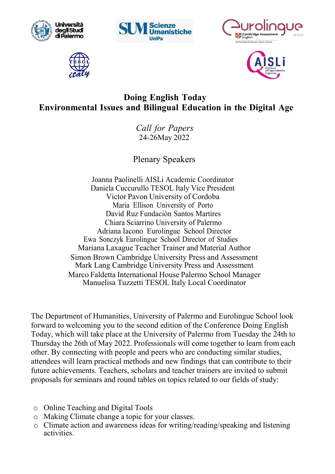









## **Environmental Issues and Bilingual Education in the Digital Age Doing English Today**

*Call for Papers*  24-26May 2022

Plenary Speakers

Joanna Paolinelli AISLi Academic Coordinator Daniela Cuccurullo Cuccurullo TESOL Italy Vice President Victor Victor Pavon University of Cordoba Maria Ellison University of Porto David David Ruz Fundaciòn Santos Martires Chiara Chiara Sciarrino University of Palermo Adriana Iacono Eurolingue School Director Ewa Sonczyk Sonczyk Eurolingue School Director of Studies Mariana Laxague Laxague Teacher Trainer and Material Author Simon Brown Cambridge University Press and Assessment Mark Lang Cambridge Cambridge University Press and Assessment Marco Faldetta International House Palermo School Manager Manuelisa Tuzzetti TESOL Italy Local Coordinator

The Department of Humanities, University of Palermo and Eurolingue School look forward to welcoming you to the second edition of the Conference Doing English Today, which will take place at the University of Palermo from Tuesday the 24th to Thursday the 26th of May 2022. Professionals will come together to learn from each other. By connecting with people and peers who are conducting similar studies, attendees will learn practical methods and new findings that can contribute to their future achievements. Teachers, scholars and teacher trainers are invited to submit future achievements. Teachers, scholars and teacher trainers are invited to subn<br>proposals for seminars and round tables on topics related to our fields of study:

- o Online Teaching and Digital Digital Tools
- o Making Climate change a a topic for your classes.
- o Climate action and awareness ideas for writing/reading/speaking and listening activities.